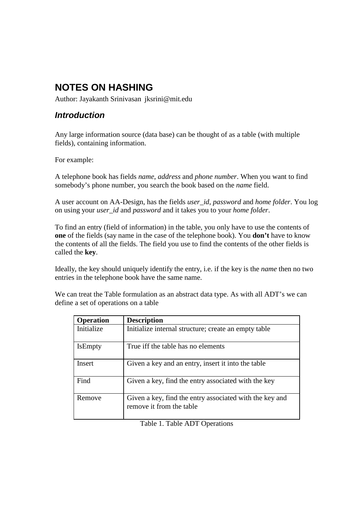# **NOTES ON HASHING**

Author: Jayakanth Srinivasan jksrini@mit.edu

# **Introduction**

Any large information source (data base) can be thought of as a table (with multiple fields), containing information.

For example:

A telephone book has fields *name*, *address* and *phone number*. When you want to find somebody's phone number, you search the book based on the *name* field.

A user account on AA-Design, has the fields *user\_id*, *password* and *home folder*. You log on using your *user\_id* and *password* and it takes you to your *home folder*.

To find an entry (field of information) in the table, you only have to use the contents of **one** of the fields (say name in the case of the telephone book). You **don't** have to know the contents of all the fields. The field you use to find the contents of the other fields is called the **key**.

Ideally, the key should uniquely identify the entry, i.e. if the key is the *name* then no two entries in the telephone book have the same name.

We can treat the Table formulation as an abstract data type. As with all ADT's we can define a set of operations on a table

| <b>Operation</b> | <b>Description</b>                                                                  |
|------------------|-------------------------------------------------------------------------------------|
| Initialize       | Initialize internal structure; create an empty table                                |
| <b>IsEmpty</b>   | True iff the table has no elements                                                  |
| Insert           | Given a key and an entry, insert it into the table                                  |
| Find             | Given a key, find the entry associated with the key                                 |
| Remove           | Given a key, find the entry associated with the key and<br>remove it from the table |

Table 1. Table ADT Operations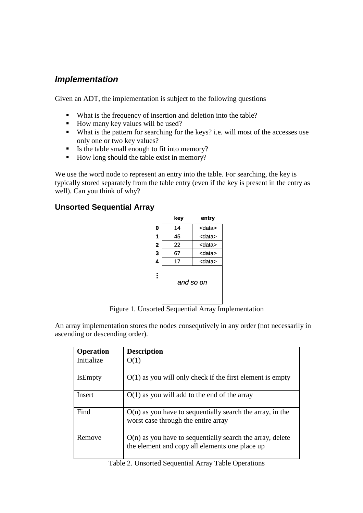# **Implementation**

Given an ADT, the implementation is subject to the following questions

- What is the frequency of insertion and deletion into the table?
- How many key values will be used?
- What is the pattern for searching for the keys? i.e. will most of the accesses use only one or two key values?
- Is the table small enough to fit into memory?
- How long should the table exist in memory?

We use the word node to represent an entry into the table. For searching, the key is typically stored separately from the table entry (even if the key is present in the entry as well). Can you think of why?

## **Unsorted Sequential Array**

|                         | key | entry         |
|-------------------------|-----|---------------|
| 0                       | 14  | <data></data> |
| 1                       | 45  | <data></data> |
| $\overline{2}$          | 22  | <data></data> |
| 3                       | 67  | <data></data> |
| $\overline{\mathbf{4}}$ | 17  | <data></data> |
| Ē                       |     | and so on     |

Figure 1. Unsorted Sequential Array Implementation

An array implementation stores the nodes consequtively in any order (not necessarily in ascending or descending order).

| <b>Operation</b> | <b>Description</b>                                                                                            |
|------------------|---------------------------------------------------------------------------------------------------------------|
| Initialize       | O(1)                                                                                                          |
| <b>IsEmpty</b>   | $O(1)$ as you will only check if the first element is empty                                                   |
| Insert           | $O(1)$ as you will add to the end of the array                                                                |
| Find             | $O(n)$ as you have to sequentially search the array, in the<br>worst case through the entire array            |
| Remove           | $O(n)$ as you have to sequentially search the array, delete<br>the element and copy all elements one place up |

#### Table 2. Unsorted Sequential Array Table Operations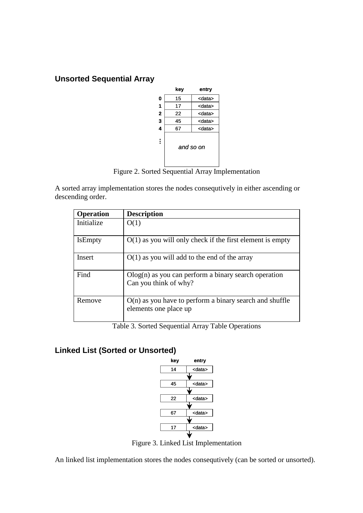# **Unsorted Sequential Array**



Figure 2. Sorted Sequential Array Implementation

A sorted array implementation stores the nodes consequtively in either ascending or descending order.

| <b>Operation</b> | <b>Description</b>                                                                 |
|------------------|------------------------------------------------------------------------------------|
| Initialize       | O(1)                                                                               |
| <b>IsEmpty</b>   | $O(1)$ as you will only check if the first element is empty                        |
| Insert           | $O(1)$ as you will add to the end of the array                                     |
| Find             | $Olog(n)$ as you can perform a binary search operation<br>Can you think of why?    |
| Remove           | $O(n)$ as you have to perform a binary search and shuffle<br>elements one place up |

Table 3. Sorted Sequential Array Table Operations

# **Linked List (Sorted or Unsorted)**



Figure 3. Linked List Implementation

An linked list implementation stores the nodes consequtively (can be sorted or unsorted).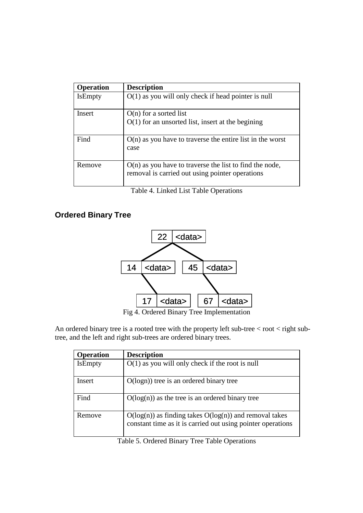| <b>Operation</b> | <b>Description</b>                                                                                           |
|------------------|--------------------------------------------------------------------------------------------------------------|
| <b>IsEmpty</b>   | $O(1)$ as you will only check if head pointer is null                                                        |
| Insert           | $O(n)$ for a sorted list                                                                                     |
|                  | $O(1)$ for an unsorted list, insert at the begining                                                          |
| Find             | $O(n)$ as you have to traverse the entire list in the worst<br>case                                          |
| Remove           | $O(n)$ as you have to traverse the list to find the node,<br>removal is carried out using pointer operations |

Table 4. Linked List Table Operations

# **Ordered Binary Tree**



Fig 4. Ordered Binary Tree Implementation

An ordered binary tree is a rooted tree with the property left sub-tree  $<$  root  $<$  right subtree, and the left and right sub-trees are ordered binary trees.

| <b>Operation</b> | <b>Description</b>                                                                                                        |
|------------------|---------------------------------------------------------------------------------------------------------------------------|
| <b>IsEmpty</b>   | $O(1)$ as you will only check if the root is null                                                                         |
| Insert           | $O(logn)$ tree is an ordered binary tree                                                                                  |
| Find             | $O(log(n))$ as the tree is an ordered binary tree                                                                         |
| Remove           | $O(log(n))$ as finding takes $O(log(n))$ and removal takes<br>constant time as it is carried out using pointer operations |

Table 5. Ordered Binary Tree Table Operations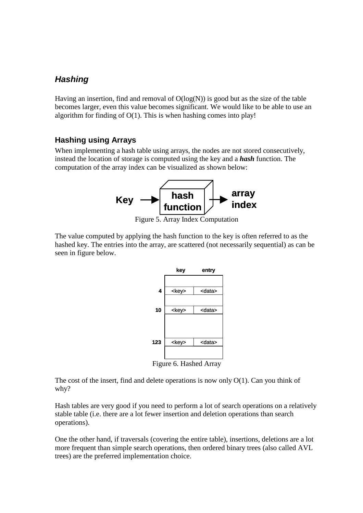# **Hashing**

Having an insertion, find and removal of  $O(log(N))$  is good but as the size of the table becomes larger, even this value becomes significant. We would like to be able to use an algorithm for finding of O(1). This is when hashing comes into play!

### **Hashing using Arrays**

When implementing a hash table using arrays, the nodes are not stored consecutively, instead the location of storage is computed using the key and a *hash* function. The computation of the array index can be visualized as shown below:



Figure 5. Array Index Computation

The value computed by applying the hash function to the key is often referred to as the hashed key. The entries into the array, are scattered (not necessarily sequential) as can be seen in figure below.



Figure 6. Hashed Array

The cost of the insert, find and delete operations is now only  $O(1)$ . Can you think of why?

Hash tables are very good if you need to perform a lot of search operations on a relatively stable table (i.e. there are a lot fewer insertion and deletion operations than search operations).

One the other hand, if traversals (covering the entire table), insertions, deletions are a lot more frequent than simple search operations, then ordered binary trees (also called AVL trees) are the preferred implementation choice.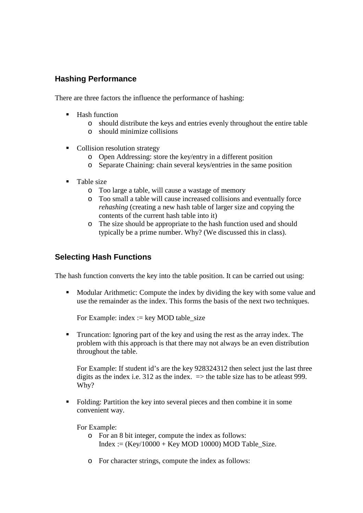# **Hashing Performance**

There are three factors the influence the performance of hashing:

- $\blacksquare$  Hash function
	- o should distribute the keys and entries evenly throughout the entire table
	- o should minimize collisions
- Collision resolution strategy
	- o Open Addressing: store the key/entry in a different position
	- o Separate Chaining: chain several keys/entries in the same position
- Table size
	- o Too large a table, will cause a wastage of memory
	- o Too small a table will cause increased collisions and eventually force *rehashing* (creating a new hash table of larger size and copying the contents of the current hash table into it)
	- o The size should be appropriate to the hash function used and should typically be a prime number. Why? (We discussed this in class).

# **Selecting Hash Functions**

The hash function converts the key into the table position. It can be carried out using:

 Modular Arithmetic: Compute the index by dividing the key with some value and use the remainder as the index. This forms the basis of the next two techniques.

For Example: index  $:=$  key MOD table size

**Truncation:** Ignoring part of the key and using the rest as the array index. The problem with this approach is that there may not always be an even distribution throughout the table.

For Example: If student id's are the key 928324312 then select just the last three digits as the index i.e. 312 as the index.  $\Rightarrow$  the table size has to be atleast 999. Why?

 Folding: Partition the key into several pieces and then combine it in some convenient way.

For Example:

- o For an 8 bit integer, compute the index as follows: Index :=  $(Kev/10000 + Kev \text{ MOD } 10000) \text{ MOD } Table \text{ Size}.$
- o For character strings, compute the index as follows: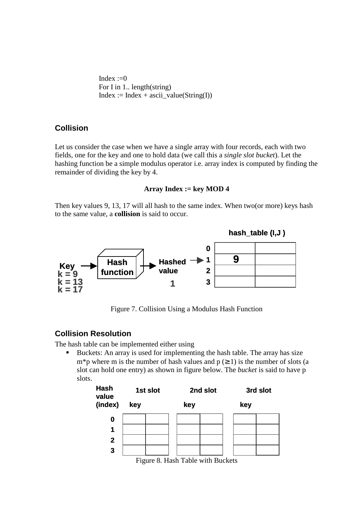Index  $:=0$ For I in 1.. length(string)  $Index := Index + ascii_value(String(I))$ 

### **Collision**

Let us consider the case when we have a single array with four records, each with two fields, one for the key and one to hold data (we call this a *single slot bucket*). Let the hashing function be a simple modulus operator i.e. array index is computed by finding the remainder of dividing the key by 4.

#### **Array Index := key MOD 4**

Then key values 9, 13, 17 will all hash to the same index. When two(or more) keys hash to the same value, a **collision** is said to occur.



Figure 7. Collision Using a Modulus Hash Function

### **Collision Resolution**

The hash table can be implemented either using

 Buckets: An array is used for implementing the hash table. The array has size m<sup>\*</sup>p where m is the number of hash values and  $p \ge 1$ ) is the number of slots (a slot can hold one entry) as shown in figure below. The *bucket* is said to have p slots.

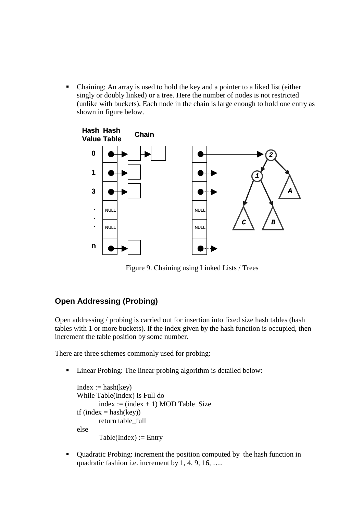Chaining: An array is used to hold the key and a pointer to a liked list (either singly or doubly linked) or a tree. Here the number of nodes is not restricted (unlike with buckets). Each node in the chain is large enough to hold one entry as shown in figure below.



Figure 9. Chaining using Linked Lists / Trees

# **Open Addressing (Probing)**

Open addressing / probing is carried out for insertion into fixed size hash tables (hash tables with 1 or more buckets). If the index given by the hash function is occupied, then increment the table position by some number.

There are three schemes commonly used for probing:

■ Linear Probing: The linear probing algorithm is detailed below:

```
Index := hash(key)While Table(Index) Is Full do
       index := (index + 1) \text{ MOD Table}. Size
if (index = hash(key))
       return table_full
else
       Table(Index) := Entry
```
 Quadratic Probing: increment the position computed by the hash function in quadratic fashion i.e. increment by 1, 4, 9, 16, ….